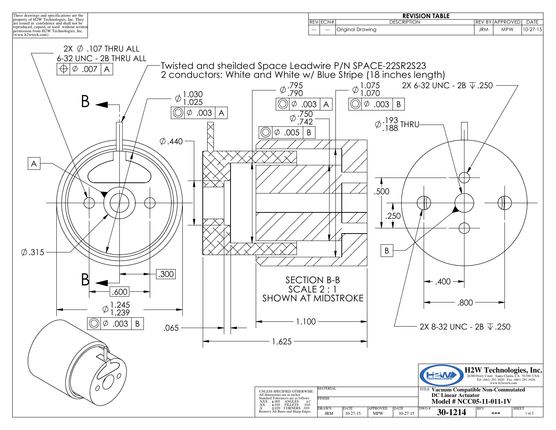